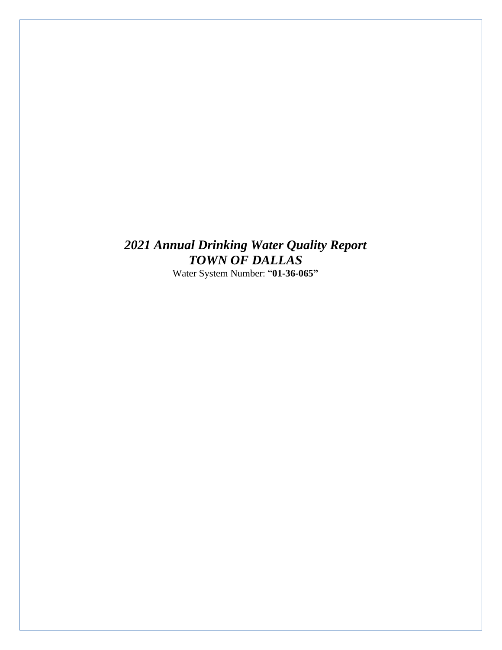*2021 Annual Drinking Water Quality Report TOWN OF DALLAS*

Water System Number: "**01-36-065"**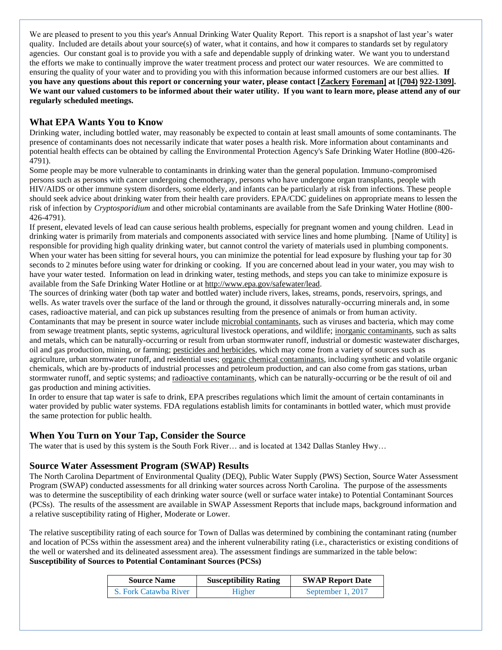We are pleased to present to you this year's Annual Drinking Water Quality Report. This report is a snapshot of last year's water quality. Included are details about your source(s) of water, what it contains, and how it compares to standards set by regulatory agencies. Our constant goal is to provide you with a safe and dependable supply of drinking water. We want you to understand the efforts we make to continually improve the water treatment process and protect our water resources. We are committed to ensuring the quality of your water and to providing you with this information because informed customers are our best allies. **If you have any questions about this report or concerning your water, please contact [Zackery Foreman] at [(704) 922-1309]. We want our valued customers to be informed about their water utility. If you want to learn more, please attend any of our regularly scheduled meetings.** 

# **What EPA Wants You to Know**

Drinking water, including bottled water, may reasonably be expected to contain at least small amounts of some contaminants. The presence of contaminants does not necessarily indicate that water poses a health risk. More information about contaminants and potential health effects can be obtained by calling the Environmental Protection Agency's Safe Drinking Water Hotline (800-426- 4791).

Some people may be more vulnerable to contaminants in drinking water than the general population. Immuno-compromised persons such as persons with cancer undergoing chemotherapy, persons who have undergone organ transplants, people with HIV/AIDS or other immune system disorders, some elderly, and infants can be particularly at risk from infections. These people should seek advice about drinking water from their health care providers. EPA/CDC guidelines on appropriate means to lessen the risk of infection by *Cryptosporidium* and other microbial contaminants are available from the Safe Drinking Water Hotline (800- 426-4791).

If present, elevated levels of lead can cause serious health problems, especially for pregnant women and young children. Lead in drinking water is primarily from materials and components associated with service lines and home plumbing. [Name of Utility] is responsible for providing high quality drinking water, but cannot control the variety of materials used in plumbing components. When your water has been sitting for several hours, you can minimize the potential for lead exposure by flushing your tap for 30 seconds to 2 minutes before using water for drinking or cooking. If you are concerned about lead in your water, you may wish to have your water tested. Information on lead in drinking water, testing methods, and steps you can take to minimize exposure is available from the Safe Drinking Water Hotline or at [http://www.epa.gov/safewater/lead.](http://www.epa.gov/safewater/lead)

The sources of drinking water (both tap water and bottled water) include rivers, lakes, streams, ponds, reservoirs, springs, and wells. As water travels over the surface of the land or through the ground, it dissolves naturally-occurring minerals and, in some cases, radioactive material, and can pick up substances resulting from the presence of animals or from human activity.

Contaminants that may be present in source water include microbial contaminants, such as viruses and bacteria, which may come from sewage treatment plants, septic systems, agricultural livestock operations, and wildlife; inorganic contaminants, such as salts and metals, which can be naturally-occurring or result from urban stormwater runoff, industrial or domestic wastewater discharges, oil and gas production, mining, or farming; pesticides and herbicides, which may come from a variety of sources such as agriculture, urban stormwater runoff, and residential uses; organic chemical contaminants, including synthetic and volatile organic chemicals, which are by-products of industrial processes and petroleum production, and can also come from gas stations, urban stormwater runoff, and septic systems; and radioactive contaminants, which can be naturally-occurring or be the result of oil and gas production and mining activities.

In order to ensure that tap water is safe to drink, EPA prescribes regulations which limit the amount of certain contaminants in water provided by public water systems. FDA regulations establish limits for contaminants in bottled water, which must provide the same protection for public health.

### **When You Turn on Your Tap, Consider the Source**

The water that is used by this system is the South Fork River… and is located at 1342 Dallas Stanley Hwy…

### **Source Water Assessment Program (SWAP) Results**

The North Carolina Department of Environmental Quality (DEQ), Public Water Supply (PWS) Section, Source Water Assessment Program (SWAP) conducted assessments for all drinking water sources across North Carolina. The purpose of the assessments was to determine the susceptibility of each drinking water source (well or surface water intake) to Potential Contaminant Sources (PCSs). The results of the assessment are available in SWAP Assessment Reports that include maps, background information and a relative susceptibility rating of Higher, Moderate or Lower.

The relative susceptibility rating of each source for Town of Dallas was determined by combining the contaminant rating (number and location of PCSs within the assessment area) and the inherent vulnerability rating (i.e., characteristics or existing conditions of the well or watershed and its delineated assessment area). The assessment findings are summarized in the table below: **Susceptibility of Sources to Potential Contaminant Sources (PCSs)**

| <b>Source Name</b>    | <b>Susceptibility Rating</b> | <b>SWAP Report Date</b> |  |  |
|-----------------------|------------------------------|-------------------------|--|--|
| S. Fork Catawba River | Higher                       | September 1, 2017       |  |  |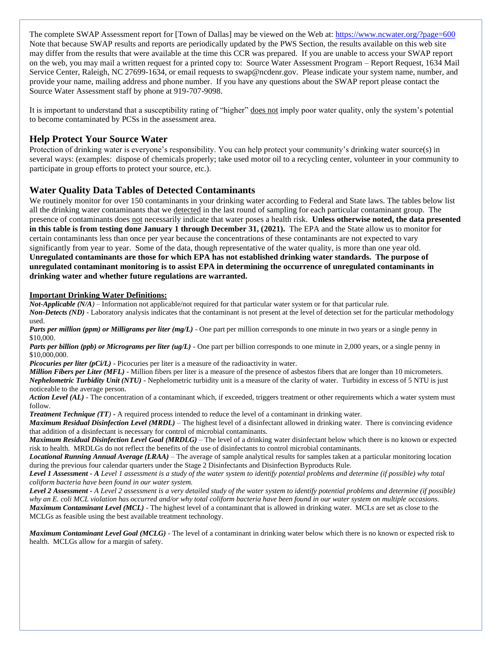The complete SWAP Assessment report for [Town of Dallas] may be viewed on the Web at:<https://www.ncwater.org/?page=600> Note that because SWAP results and reports are periodically updated by the PWS Section, the results available on this web site may differ from the results that were available at the time this CCR was prepared. If you are unable to access your SWAP report on the web, you may mail a written request for a printed copy to: Source Water Assessment Program – Report Request, 1634 Mail Service Center, Raleigh, NC 27699-1634, or email requests to swap@ncdenr.gov. Please indicate your system name, number, and provide your name, mailing address and phone number. If you have any questions about the SWAP report please contact the Source Water Assessment staff by phone at 919-707-9098.

It is important to understand that a susceptibility rating of "higher" does not imply poor water quality, only the system's potential to become contaminated by PCSs in the assessment area.

### **Help Protect Your Source Water**

Protection of drinking water is everyone's responsibility. You can help protect your community's drinking water source(s) in several ways: (examples: dispose of chemicals properly; take used motor oil to a recycling center, volunteer in your community to participate in group efforts to protect your source, etc.).

# **Water Quality Data Tables of Detected Contaminants**

We routinely monitor for over 150 contaminants in your drinking water according to Federal and State laws. The tables below list all the drinking water contaminants that we detected in the last round of sampling for each particular contaminant group. The presence of contaminants does not necessarily indicate that water poses a health risk. **Unless otherwise noted, the data presented in this table is from testing done January 1 through December 31, (2021).** The EPA and the State allow us to monitor for certain contaminants less than once per year because the concentrations of these contaminants are not expected to vary significantly from year to year. Some of the data, though representative of the water quality, is more than one year old. **Unregulated contaminants are those for which EPA has not established drinking water standards. The purpose of unregulated contaminant monitoring is to assist EPA in determining the occurrence of unregulated contaminants in drinking water and whether future regulations are warranted.** 

### **Important Drinking Water Definitions:**

*Not-Applicable (N/A)* – Information not applicable/not required for that particular water system or for that particular rule. *Non-Detects (ND)* - Laboratory analysis indicates that the contaminant is not present at the level of detection set for the particular methodology used.

*Parts per million (ppm) or Milligrams per liter (mg/L)* - One part per million corresponds to one minute in two years or a single penny in \$10,000.

*Parts per billion (ppb) or Micrograms per liter (ug/L)* - One part per billion corresponds to one minute in 2,000 years, or a single penny in \$10,000,000.

*Picocuries per liter (pCi/L)* - Picocuries per liter is a measure of the radioactivity in water.

*Million Fibers per Liter (MFL)* - Million fibers per liter is a measure of the presence of asbestos fibers that are longer than 10 micrometers. *Nephelometric Turbidity Unit (NTU)* - Nephelometric turbidity unit is a measure of the clarity of water. Turbidity in excess of 5 NTU is just noticeable to the average person.

*Action Level (AL) -* The concentration of a contaminant which, if exceeded, triggers treatment or other requirements which a water system must follow.

*Treatment Technique (TT)* **-** A required process intended to reduce the level of a contaminant in drinking water.

*Maximum Residual Disinfection Level (MRDL)* – The highest level of a disinfectant allowed in drinking water. There is convincing evidence that addition of a disinfectant is necessary for control of microbial contaminants.

*Maximum Residual Disinfection Level Goal (MRDLG)* – The level of a drinking water disinfectant below which there is no known or expected risk to health. MRDLGs do not reflect the benefits of the use of disinfectants to control microbial contaminants.

*Locational Running Annual Average (LRAA)* – The average of sample analytical results for samples taken at a particular monitoring location during the previous four calendar quarters under the Stage 2 Disinfectants and Disinfection Byproducts Rule.

*Level 1 Assessment - A Level 1 assessment is a study of the water system to identify potential problems and determine (if possible) why total coliform bacteria have been found in our water system.*

*Level 2 Assessment - A Level 2 assessment is a very detailed study of the water system to identify potential problems and determine (if possible) why an E. coli MCL violation has occurred and/or why total coliform bacteria have been found in our water system on multiple occasions. Maximum Contaminant Level (MCL)* - The highest level of a contaminant that is allowed in drinking water. MCLs are set as close to the MCLGs as feasible using the best available treatment technology.

*Maximum Contaminant Level Goal (MCLG)* - The level of a contaminant in drinking water below which there is no known or expected risk to health. MCLGs allow for a margin of safety.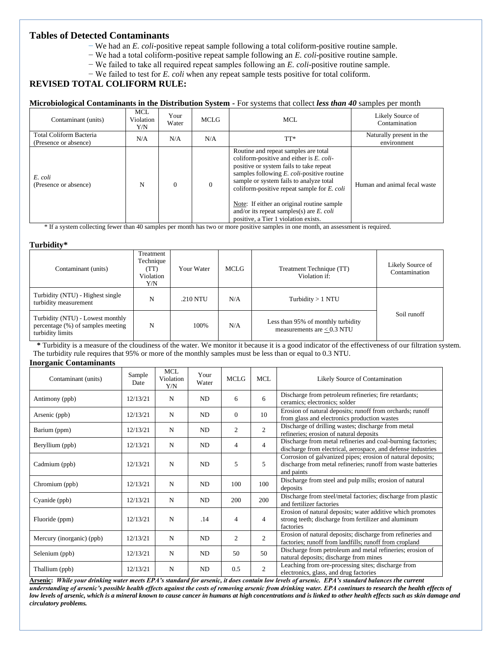### **Tables of Detected Contaminants**

- − We had an *E. coli*-positive repeat sample following a total coliform-positive routine sample.
- − We had a total coliform-positive repeat sample following an *E. coli*-positive routine sample.
- − We failed to take all required repeat samples following an *E. coli*-positive routine sample.
- − We failed to test for *E. coli* when any repeat sample tests positive for total coliform.

### **REVISED TOTAL COLIFORM RULE:**

#### **Microbiological Contaminants in the Distribution System -** For systems that collect *less than 40* samples per month

| Contaminant (units)                              | <b>MCL</b><br>Violation<br>Y/N | Your<br>Water | <b>MCLG</b> | <b>MCL</b>                                                                                                                                                                                                                                                                                                                                                                                                             | Likely Source of<br>Contamination       |
|--------------------------------------------------|--------------------------------|---------------|-------------|------------------------------------------------------------------------------------------------------------------------------------------------------------------------------------------------------------------------------------------------------------------------------------------------------------------------------------------------------------------------------------------------------------------------|-----------------------------------------|
| Total Coliform Bacteria<br>(Presence or absence) | N/A                            | N/A           | N/A         | $TT^*$                                                                                                                                                                                                                                                                                                                                                                                                                 | Naturally present in the<br>environment |
| E. coli<br>(Presence or absence)                 | N                              | $\theta$      | $\theta$    | Routine and repeat samples are total<br>coliform-positive and either is E. coli-<br>positive or system fails to take repeat<br>samples following $E$ , <i>coli</i> -positive routine<br>sample or system fails to analyze total<br>coliform-positive repeat sample for $E$ . coli<br>Note: If either an original routine sample<br>and/or its repeat samples(s) are $E$ . coli<br>positive, a Tier 1 violation exists. | Human and animal fecal waste            |

\* If a system collecting fewer than 40 samples per month has two or more positive samples in one month, an assessment is required.

#### **Turbidity\***

| Contaminant (units)                                                                       | Treatment<br>Technique<br>(TT)<br>Violation<br>Y/N | Your Water | <b>MCLG</b> | Treatment Technique (TT)<br>Violation if:                          | Likely Source of<br>Contamination |
|-------------------------------------------------------------------------------------------|----------------------------------------------------|------------|-------------|--------------------------------------------------------------------|-----------------------------------|
| Turbidity (NTU) - Highest single<br>turbidity measurement                                 | N                                                  | .210 NTU   | N/A         | Turbidity $> 1$ NTU                                                |                                   |
| Turbidity (NTU) - Lowest monthly<br>percentage (%) of samples meeting<br>turbidity limits | N                                                  | 100%       | N/A         | Less than 95% of monthly turbidity<br>measurements are $< 0.3$ NTU | Soil runoff                       |

 **\*** Turbidity is a measure of the cloudiness of the water. We monitor it because it is a good indicator of the effectiveness of our filtration system. The turbidity rule requires that 95% or more of the monthly samples must be less than or equal to 0.3 NTU.

#### **Inorganic Contaminants**

| пил дание соптаннация     |                |                         |               |                |                |                                                                                                                                           |
|---------------------------|----------------|-------------------------|---------------|----------------|----------------|-------------------------------------------------------------------------------------------------------------------------------------------|
| Contaminant (units)       | Sample<br>Date | MCL<br>Violation<br>Y/N | Your<br>Water | <b>MCLG</b>    | <b>MCL</b>     | Likely Source of Contamination                                                                                                            |
| Antimony (ppb)            | 12/13/21       | N                       | ND            | 6              | 6              | Discharge from petroleum refineries; fire retardants;<br>ceramics; electronics; solder                                                    |
| Arsenic (ppb)             | 12/13/21       | $\mathbf N$             | ND            | $\overline{0}$ | 10             | Erosion of natural deposits; runoff from orchards; runoff<br>from glass and electronics production wastes                                 |
| Barium (ppm)              | 12/13/21       | N                       | ND            | 2              | $\overline{2}$ | Discharge of drilling wastes; discharge from metal<br>refineries; erosion of natural deposits                                             |
| Beryllium (ppb)           | 12/13/21       | N                       | ND            | 4              | $\overline{4}$ | Discharge from metal refineries and coal-burning factories;<br>discharge from electrical, aerospace, and defense industries               |
| Cadmium (ppb)             | 12/13/21       | $\mathbf N$             | ND            | 5              | 5              | Corrosion of galvanized pipes; erosion of natural deposits;<br>discharge from metal refineries; runoff from waste batteries<br>and paints |
| Chromium (ppb)            | 12/13/21       | $\mathbf N$             | ND            | 100            | 100            | Discharge from steel and pulp mills; erosion of natural<br>deposits                                                                       |
| Cyanide (ppb)             | 12/13/21       | $\mathbf N$             | ND            | 200            | 200            | Discharge from steel/metal factories; discharge from plastic<br>and fertilizer factories                                                  |
| Fluoride (ppm)            | 12/13/21       | $\mathbf N$             | .14           | 4              | $\overline{4}$ | Erosion of natural deposits; water additive which promotes<br>strong teeth; discharge from fertilizer and aluminum<br>factories           |
| Mercury (inorganic) (ppb) | 12/13/21       | $\mathbf N$             | ND            | $\overline{c}$ | $\overline{2}$ | Erosion of natural deposits; discharge from refineries and<br>factories; runoff from landfills; runoff from cropland                      |
| Selenium (ppb)            | 12/13/21       | $\mathbf N$             | ND            | 50             | 50             | Discharge from petroleum and metal refineries; erosion of<br>natural deposits; discharge from mines                                       |
| Thallium (ppb)            | 12/13/21       | $\mathbf N$             | ND            | 0.5            | $\overline{2}$ | Leaching from ore-processing sites; discharge from<br>electronics, glass, and drug factories                                              |

**Arsenic:** *While your drinking water meets EPA's standard for arsenic, it does contain low levels of arsenic. EPA's standard balances the current understanding of arsenic's possible health effects against the costs of removing arsenic from drinking water. EPA continues to research the health effects of low levels of arsenic, which is a mineral known to cause cancer in humans at high concentrations and is linked to other health effects such as skin damage and circulatory problems.*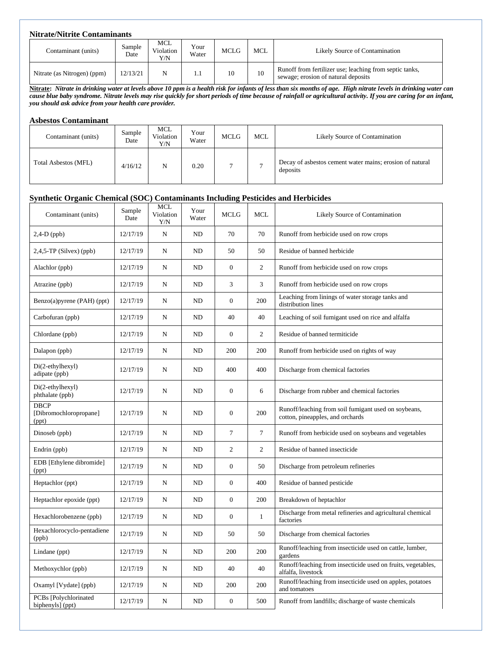#### **Nitrate/Nitrite Contaminants**

| Contaminant (units)         | Sample<br>Date | MCL<br>Violation<br>Y/N | Your<br>Water | <b>MCLG</b> | <b>MCL</b> | Likely Source of Contamination                                                                 |
|-----------------------------|----------------|-------------------------|---------------|-------------|------------|------------------------------------------------------------------------------------------------|
| Nitrate (as Nitrogen) (ppm) | 12/13/21       | N                       |               | 10          | 10         | Runoff from fertilizer use; leaching from septic tanks,<br>sewage; erosion of natural deposits |

**Nitrate:** *Nitrate in drinking water at levels above 10 ppm is a health risk for infants of less than six months of age. High nitrate levels in drinking water can cause blue baby syndrome. Nitrate levels may rise quickly for short periods of time because of rainfall or agricultural activity. If you are caring for an infant, you should ask advice from your health care provider.* 

#### **Asbestos Contaminant**

| Contaminant (units)         | Sample<br>Date | <b>MCL</b><br>Violation<br>Y/N | Your<br>Water | <b>MCLG</b> | <b>MCL</b> | Likely Source of Contamination                                       |
|-----------------------------|----------------|--------------------------------|---------------|-------------|------------|----------------------------------------------------------------------|
| <b>Total Asbestos (MFL)</b> | 4/16/12        | N                              | 0.20          |             |            | Decay of asbestos cement water mains; erosion of natural<br>deposits |

### **Synthetic Organic Chemical (SOC) Contaminants Including Pesticides and Herbicides**

| Contaminant (units)                            | Sample<br>Date | <b>MCL</b><br>Violation<br>Y/N | Your<br>Water | <b>MCLG</b>      | <b>MCL</b>     | Likely Source of Contamination                                                           |
|------------------------------------------------|----------------|--------------------------------|---------------|------------------|----------------|------------------------------------------------------------------------------------------|
| $2,4-D$ (ppb)                                  | 12/17/19       | N                              | ND            | 70               | 70             | Runoff from herbicide used on row crops                                                  |
| $2,4,5$ -TP (Silvex) (ppb)                     | 12/17/19       | N                              | <b>ND</b>     | 50               | 50             | Residue of banned herbicide                                                              |
| Alachlor (ppb)                                 | 12/17/19       | N                              | <b>ND</b>     | $\mathbf{0}$     | $\overline{2}$ | Runoff from herbicide used on row crops                                                  |
| Atrazine (ppb)                                 | 12/17/19       | N                              | ND            | 3                | $\overline{3}$ | Runoff from herbicide used on row crops                                                  |
| Benzo(a)pyrene (PAH) (ppt)                     | 12/17/19       | N                              | <b>ND</b>     | $\theta$         | 200            | Leaching from linings of water storage tanks and<br>distribution lines                   |
| Carbofuran (ppb)                               | 12/17/19       | N                              | <b>ND</b>     | 40               | 40             | Leaching of soil fumigant used on rice and alfalfa                                       |
| Chlordane (ppb)                                | 12/17/19       | N                              | <b>ND</b>     | $\theta$         | $\overline{2}$ | Residue of banned termiticide                                                            |
| Dalapon (ppb)                                  | 12/17/19       | N                              | <b>ND</b>     | 200              | 200            | Runoff from herbicide used on rights of way                                              |
| Di(2-ethylhexyl)<br>adipate (ppb)              | 12/17/19       | N                              | <b>ND</b>     | 400              | 400            | Discharge from chemical factories                                                        |
| Di(2-ethylhexyl)<br>phthalate (ppb)            | 12/17/19       | N                              | <b>ND</b>     | $\overline{0}$   | 6              | Discharge from rubber and chemical factories                                             |
| <b>DBCP</b><br>[Dibromochloropropane]<br>(ppt) | 12/17/19       | N                              | <b>ND</b>     | $\theta$         | 200            | Runoff/leaching from soil fumigant used on soybeans,<br>cotton, pineapples, and orchards |
| Dinoseb (ppb)                                  | 12/17/19       | N                              | <b>ND</b>     | $\overline{7}$   | $\tau$         | Runoff from herbicide used on soybeans and vegetables                                    |
| Endrin (ppb)                                   | 12/17/19       | N                              | <b>ND</b>     | $\overline{c}$   | $\overline{2}$ | Residue of banned insecticide                                                            |
| EDB [Ethylene dibromide]<br>(ppt)              | 12/17/19       | N                              | <b>ND</b>     | $\boldsymbol{0}$ | 50             | Discharge from petroleum refineries                                                      |
| Heptachlor (ppt)                               | 12/17/19       | N                              | ND            | $\overline{0}$   | 400            | Residue of banned pesticide                                                              |
| Heptachlor epoxide (ppt)                       | 12/17/19       | N                              | ND            | $\mathbf{0}$     | 200            | Breakdown of heptachlor                                                                  |
| Hexachlorobenzene (ppb)                        | 12/17/19       | N                              | <b>ND</b>     | $\overline{0}$   | $\mathbf{1}$   | Discharge from metal refineries and agricultural chemical<br>factories                   |
| Hexachlorocyclo-pentadiene<br>(ppb)            | 12/17/19       | N                              | <b>ND</b>     | 50               | 50             | Discharge from chemical factories                                                        |
| Lindane (ppt)                                  | 12/17/19       | N                              | ND            | 200              | 200            | Runoff/leaching from insecticide used on cattle, lumber,<br>gardens                      |
| Methoxychlor (ppb)                             | 12/17/19       | N                              | <b>ND</b>     | 40               | 40             | Runoff/leaching from insecticide used on fruits, vegetables,<br>alfalfa, livestock       |
| Oxamyl [Vydate] (ppb)                          | 12/17/19       | N                              | <b>ND</b>     | 200              | 200            | Runoff/leaching from insecticide used on apples, potatoes<br>and tomatoes                |
| PCBs [Polychlorinated<br>biphenyls] (ppt)      | 12/17/19       | N                              | <b>ND</b>     | $\mathbf{0}$     | 500            | Runoff from landfills; discharge of waste chemicals                                      |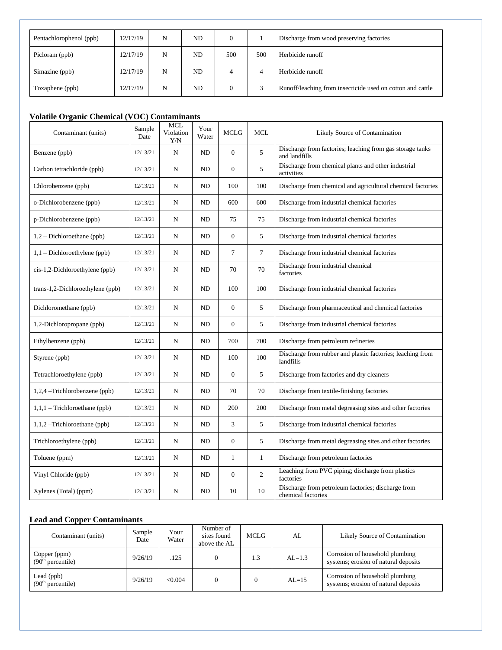| Pentachlorophenol (ppb) | 12/17/19 | N | ND |     |     | Discharge from wood preserving factories                   |  |
|-------------------------|----------|---|----|-----|-----|------------------------------------------------------------|--|
| Picloram (ppb)          | 12/17/19 | N | ND | 500 | 500 | Herbicide runoff                                           |  |
| Simazine (ppb)          | 12/17/19 | N | ND |     |     | Herbicide runoff                                           |  |
| Toxaphene (ppb)         | 12/17/19 | N | ND |     |     | Runoff/leaching from insecticide used on cotton and cattle |  |

# **Volatile Organic Chemical (VOC) Contaminants**

| Contaminant (units)              | Sample<br>Date | <b>MCL</b><br>Violation<br>Y/N | Your<br>Water  | <b>MCLG</b>      | <b>MCL</b>     | Likely Source of Contamination                                             |  |
|----------------------------------|----------------|--------------------------------|----------------|------------------|----------------|----------------------------------------------------------------------------|--|
| Benzene (ppb)                    | 12/13/21       | N                              | N <sub>D</sub> | $\mathbf{0}$     | 5              | Discharge from factories; leaching from gas storage tanks<br>and landfills |  |
| Carbon tetrachloride (ppb)       | 12/13/21       | N                              | ND             | $\mathbf{0}$     | 5              | Discharge from chemical plants and other industrial<br>activities          |  |
| Chlorobenzene (ppb)              | 12/13/21       | N                              | <b>ND</b>      | 100              | 100            | Discharge from chemical and agricultural chemical factories                |  |
| o-Dichlorobenzene (ppb)          | 12/13/21       | N                              | <b>ND</b>      | 600              | 600            | Discharge from industrial chemical factories                               |  |
| p-Dichlorobenzene (ppb)          | 12/13/21       | N                              | N <sub>D</sub> | 75               | 75             | Discharge from industrial chemical factories                               |  |
| $1,2$ – Dichloroethane (ppb)     | 12/13/21       | N                              | N <sub>D</sub> | $\mathbf{0}$     | 5              | Discharge from industrial chemical factories                               |  |
| $1,1$ – Dichloroethylene (ppb)   | 12/13/21       | N                              | <b>ND</b>      | $\overline{7}$   | $\tau$         | Discharge from industrial chemical factories                               |  |
| cis-1,2-Dichloroethylene (ppb)   | 12/13/21       | N                              | N <sub>D</sub> | 70               | 70             | Discharge from industrial chemical<br>factories                            |  |
| trans-1,2-Dichloroethylene (ppb) | 12/13/21       | N                              | N <sub>D</sub> | 100              | 100            | Discharge from industrial chemical factories                               |  |
| Dichloromethane (ppb)            | 12/13/21       | N                              | N <sub>D</sub> | $\overline{0}$   | 5              | Discharge from pharmaceutical and chemical factories                       |  |
| 1,2-Dichloropropane (ppb)        | 12/13/21       | N                              | <b>ND</b>      | $\mathbf{0}$     | 5              | Discharge from industrial chemical factories                               |  |
| Ethylbenzene (ppb)               | 12/13/21       | N                              | ND             | 700              | 700            | Discharge from petroleum refineries                                        |  |
| Styrene (ppb)                    | 12/13/21       | N                              | <b>ND</b>      | 100              | 100            | Discharge from rubber and plastic factories; leaching from<br>landfills    |  |
| Tetrachloroethylene (ppb)        | 12/13/21       | N                              | <b>ND</b>      | $\overline{0}$   | 5              | Discharge from factories and dry cleaners                                  |  |
| 1,2,4 -Trichlorobenzene (ppb)    | 12/13/21       | N                              | N <sub>D</sub> | 70               | 70             | Discharge from textile-finishing factories                                 |  |
| $1,1,1$ – Trichloroethane (ppb)  | 12/13/21       | N                              | N <sub>D</sub> | 200              | 200            | Discharge from metal degreasing sites and other factories                  |  |
| 1,1,2 - Trichloroethane (ppb)    | 12/13/21       | N                              | ND             | 3                | 5              | Discharge from industrial chemical factories                               |  |
| Trichloroethylene (ppb)          | 12/13/21       | N                              | ND             | $\mathbf{0}$     | 5              | Discharge from metal degreasing sites and other factories                  |  |
| Toluene (ppm)                    | 12/13/21       | N                              | N <sub>D</sub> | $\mathbf{1}$     | 1              | Discharge from petroleum factories                                         |  |
| Vinyl Chloride (ppb)             | 12/13/21       | N                              | ND             | $\boldsymbol{0}$ | $\overline{c}$ | Leaching from PVC piping; discharge from plastics<br>factories             |  |
| Xylenes (Total) (ppm)            | 12/13/21       | N                              | ND             | 10               | 10             | Discharge from petroleum factories; discharge from<br>chemical factories   |  |

# **Lead and Copper Contaminants**

| Contaminant (units)                           | Sample<br>Date | Your<br>Water | Number of<br>sites found<br>above the AL | MCLG | AL       | Likely Source of Contamination                                          |
|-----------------------------------------------|----------------|---------------|------------------------------------------|------|----------|-------------------------------------------------------------------------|
| Copper (ppm)<br>(90 <sup>th</sup> percentile) | 9/26/19        | .125          |                                          | 1.3  | $AL=1.3$ | Corrosion of household plumbing<br>systems; erosion of natural deposits |
| Lead (ppb)<br>(90 <sup>th</sup> percentile)   | 9/26/19        | < 0.004       |                                          |      | $AL=15$  | Corrosion of household plumbing<br>systems; erosion of natural deposits |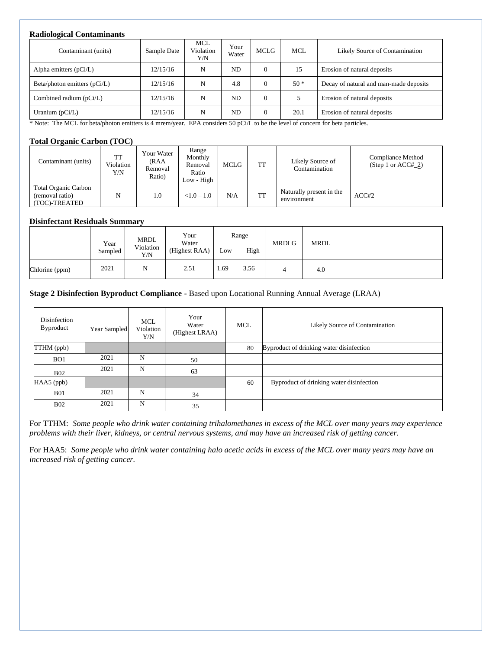#### **Radiological Contaminants**

| Contaminant (units)            | Sample Date | MCL<br>Violation<br>Y/N | Your<br>Water | <b>MCLG</b> | MCL   | Likely Source of Contamination         |
|--------------------------------|-------------|-------------------------|---------------|-------------|-------|----------------------------------------|
| Alpha emitters $(pCi/L)$       | 12/15/16    | N                       | ND.           |             | 15    | Erosion of natural deposits            |
| Beta/photon emitters $(pCi/L)$ | 12/15/16    | N                       | 4.8           |             | $50*$ | Decay of natural and man-made deposits |
| Combined radium $(pCi/L)$      | 12/15/16    | N                       | ND.           |             |       | Erosion of natural deposits            |
| Uranium (pCi/L)                | 12/15/16    | N                       | ND            |             | 20.1  | Erosion of natural deposits            |

\* Note: The MCL for beta/photon emitters is 4 mrem/year. EPA considers 50 pCi/L to be the level of concern for beta particles.

#### **Total Organic Carbon (TOC)**

| $\sim$<br>Contaminant (units)                                   | TT<br>Violation<br>Y/N | Your Water<br>(RAA<br>Removal<br>Ratio) | Range<br>Monthly<br>Removal<br>Ratio<br>Low - High | MCLG. | <b>TT</b> | Likely Source of<br>Contamination       | Compliance Method<br>(Step 1 or ACC# 2) |
|-----------------------------------------------------------------|------------------------|-----------------------------------------|----------------------------------------------------|-------|-----------|-----------------------------------------|-----------------------------------------|
| <b>Total Organic Carbon</b><br>(removal ratio)<br>(TOC)-TREATED | N                      | 1.0                                     | $< 1.0 - 1.0$                                      | N/A   | <b>TT</b> | Naturally present in the<br>environment | ACCH2                                   |

#### **Disinfectant Residuals Summary**

|                | Year<br>Sampled | MRDL<br>Violation<br>Y/N | Your<br>Water<br>(Highest RAA) | Low  | Range<br>High | <b>MRDLG</b> | <b>MRDL</b> |  |
|----------------|-----------------|--------------------------|--------------------------------|------|---------------|--------------|-------------|--|
| Chlorine (ppm) | 2021            | N                        | 2.51                           | 1.69 | 3.56          |              | 4.0         |  |

#### **Stage 2 Disinfection Byproduct Compliance -** Based upon Locational Running Annual Average (LRAA)

| Disinfection<br>Byproduct | Year Sampled | <b>MCL</b><br>Violation<br>Y/N | Your<br>Water<br>(Highest LRAA) | <b>MCL</b> | Likely Source of Contamination           |
|---------------------------|--------------|--------------------------------|---------------------------------|------------|------------------------------------------|
| TTHM (ppb)                |              |                                |                                 | 80         | Byproduct of drinking water disinfection |
| BO <sub>1</sub>           | 2021         | N                              | 50                              |            |                                          |
| <b>B02</b>                | 2021         | N                              | 63                              |            |                                          |
| HAA5 (ppb)                |              |                                |                                 | 60         | Byproduct of drinking water disinfection |
| <b>B01</b>                | 2021         | N                              | 34                              |            |                                          |
| <b>B02</b>                | 2021         | N                              | 35                              |            |                                          |

For TTHM: *Some people who drink water containing trihalomethanes in excess of the MCL over many years may experience problems with their liver, kidneys, or central nervous systems, and may have an increased risk of getting cancer.*

For HAA5: *Some people who drink water containing halo acetic acids in excess of the MCL over many years may have an increased risk of getting cancer.*